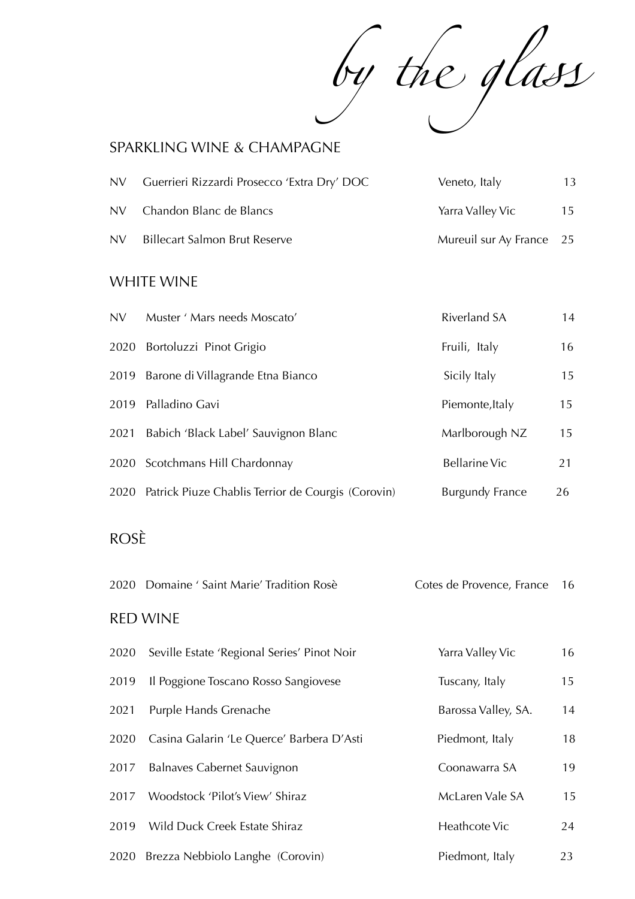by the glass

### SPARKLING WINE & CHAMPAGNE

| NV. | Guerrieri Rizzardi Prosecco 'Extra Dry' DOC | Veneto, Italy            | 13 |
|-----|---------------------------------------------|--------------------------|----|
|     | NV Chandon Blanc de Blancs                  | Yarra Valley Vic         | 15 |
| NV. | <b>Billecart Salmon Brut Reserve</b>        | Mureuil sur Ay France 25 |    |

### WHITE WINE

| NV.  | Muster ' Mars needs Moscato'                            | <b>Riverland SA</b>    | 14 |
|------|---------------------------------------------------------|------------------------|----|
|      | 2020 Bortoluzzi Pinot Grigio                            | Fruili, Italy          | 16 |
|      | 2019 Barone di Villagrande Etna Bianco                  | Sicily Italy           | 15 |
|      | 2019 Palladino Gavi                                     | Piemonte, Italy        | 15 |
| 2021 | Babich 'Black Label' Sauvignon Blanc                    | Marlborough NZ         | 15 |
|      | 2020 Scotchmans Hill Chardonnay                         | <b>Bellarine Vic</b>   | 21 |
|      | 2020 Patrick Piuze Chablis Terrior de Courgis (Corovin) | <b>Burgundy France</b> | 26 |

# ROSÈ

| 2020 Domaine ' Saint Marie' Tradition Rosè | Cotes de Provence, France 16 |  |
|--------------------------------------------|------------------------------|--|
|                                            |                              |  |

#### RED WINE

| 2020 | Seville Estate 'Regional Series' Pinot Noir | Yarra Valley Vic    | 16 |
|------|---------------------------------------------|---------------------|----|
| 2019 | Il Poggione Toscano Rosso Sangiovese        | Tuscany, Italy      | 15 |
| 2021 | Purple Hands Grenache                       | Barossa Valley, SA. | 14 |
| 2020 | Casina Galarin 'Le Querce' Barbera D'Asti   | Piedmont, Italy     | 18 |
| 2017 | Balnaves Cabernet Sauvignon                 | Coonawarra SA       | 19 |
| 2017 | Woodstock 'Pilot's View' Shiraz             | McLaren Vale SA     | 15 |
| 2019 | Wild Duck Creek Estate Shiraz               | Heathcote Vic       | 24 |
|      | 2020 Brezza Nebbiolo Langhe (Corovin)       | Piedmont, Italy     | 23 |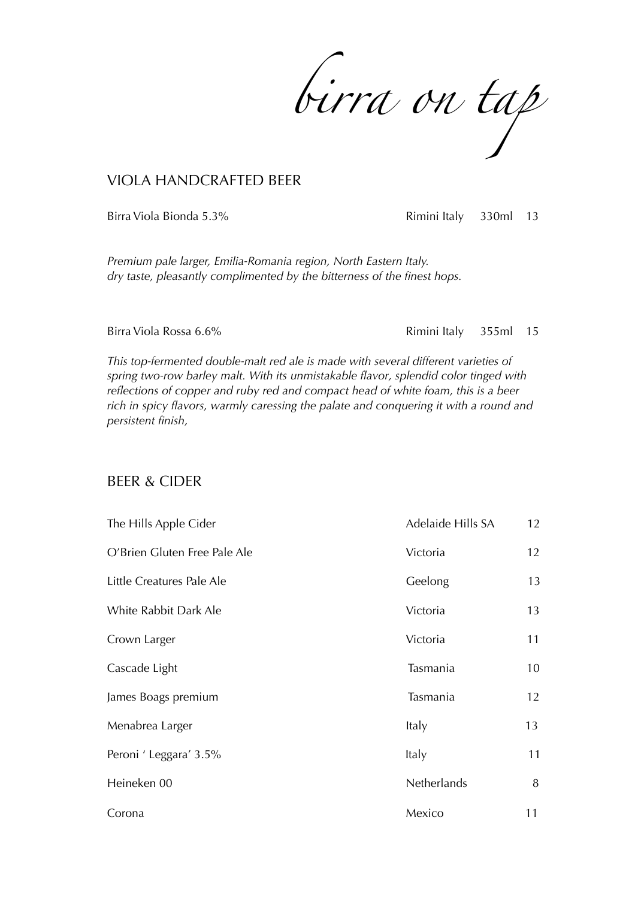*birra on tap*

#### VIOLA HANDCRAFTED BEER

Birra Viola Bionda 5.3% **Rimini Italy** 330ml 13

*Premium pale larger, Emilia-Romania region, North Eastern Italy. dry taste, pleasantly complimented by the bitterness of the finest hops.* 

Birra Viola Rossa 6.6% **Rimini Italy** 355ml 15

*This top-fermented double-malt red ale is made with several different varieties of spring two-row barley malt. With its unmistakable flavor, splendid color tinged with reflections of copper and ruby red and compact head of white foam, this is a beer rich in spicy flavors, warmly caressing the palate and conquering it with a round and persistent finish,*

#### BEER & CIDER

| The Hills Apple Cider        | Adelaide Hills SA | 12 |
|------------------------------|-------------------|----|
| O'Brien Gluten Free Pale Ale | Victoria          | 12 |
| Little Creatures Pale Ale    | Geelong           | 13 |
| White Rabbit Dark Ale        | Victoria          | 13 |
| Crown Larger                 | Victoria          | 11 |
| Cascade Light                | Tasmania          | 10 |
| James Boags premium          | Tasmania          | 12 |
| Menabrea Larger              | Italy             | 13 |
| Peroni ' Leggara' 3.5%       | Italy             | 11 |
| Heineken 00                  | Netherlands       | 8  |
| Corona                       | Mexico            | 11 |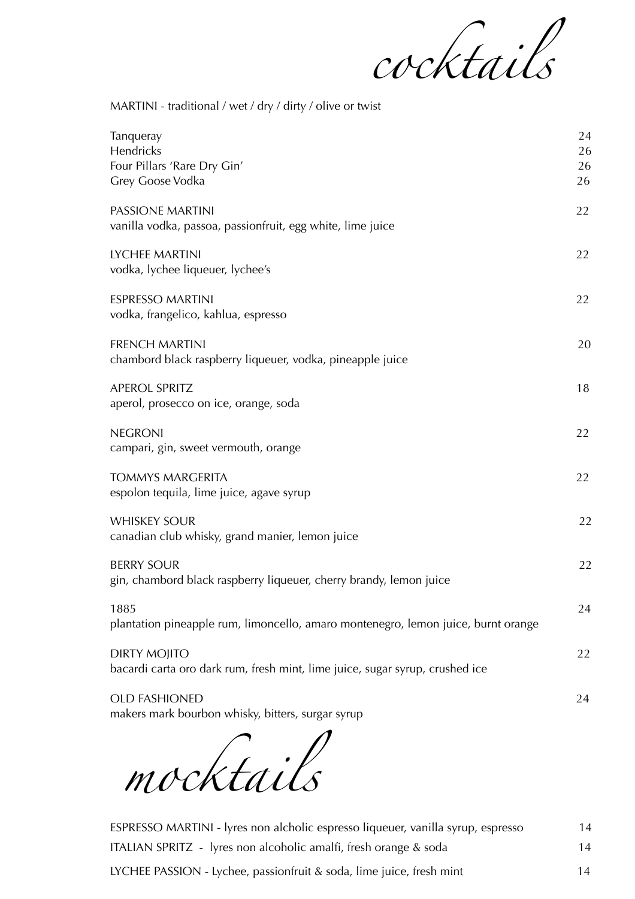

MARTINI - traditional / wet / dry / dirty / olive or twist

| 24<br>26<br>26<br>26 |
|----------------------|
| 22                   |
| 22                   |
| 22                   |
| 20                   |
| 18                   |
| 22                   |
| 22                   |
| 22                   |
| 22                   |
| 24                   |
| 22                   |
| 24                   |
|                      |

*mocktails*

ESPRESSO MARTINI - lyres non alcholic espresso liqueuer, vanilla syrup, espresso 14 ITALIAN SPRITZ - lyres non alcoholic amalfi, fresh orange & soda 14 LYCHEE PASSION - Lychee, passionfruit & soda, lime juice, fresh mint 14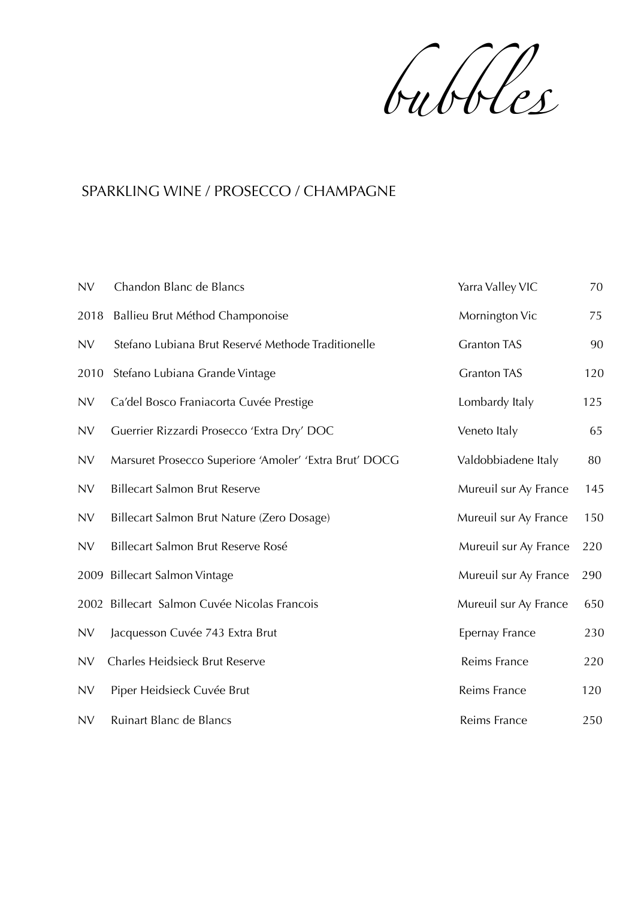*bubbl*e

## SPARKLING WINE / PROSECCO / CHAMPAGNE

| <b>NV</b> | Chandon Blanc de Blancs                                | Yarra Valley VIC      | 70  |
|-----------|--------------------------------------------------------|-----------------------|-----|
| 2018      | Ballieu Brut Méthod Champonoise                        | Mornington Vic        | 75  |
| <b>NV</b> | Stefano Lubiana Brut Reservé Methode Traditionelle     | <b>Granton TAS</b>    | 90  |
| 2010      | Stefano Lubiana Grande Vintage                         | <b>Granton TAS</b>    | 120 |
| <b>NV</b> | Ca'del Bosco Franiacorta Cuvée Prestige                | Lombardy Italy        | 125 |
| <b>NV</b> | Guerrier Rizzardi Prosecco 'Extra Dry' DOC             | Veneto Italy          | 65  |
| <b>NV</b> | Marsuret Prosecco Superiore 'Amoler' 'Extra Brut' DOCG | Valdobbiadene Italy   | 80  |
| <b>NV</b> | <b>Billecart Salmon Brut Reserve</b>                   | Mureuil sur Ay France | 145 |
| <b>NV</b> | Billecart Salmon Brut Nature (Zero Dosage)             | Mureuil sur Ay France | 150 |
| <b>NV</b> | Billecart Salmon Brut Reserve Rosé                     | Mureuil sur Ay France | 220 |
| 2009      | <b>Billecart Salmon Vintage</b>                        | Mureuil sur Ay France | 290 |
|           | 2002 Billecart Salmon Cuvée Nicolas Francois           | Mureuil sur Ay France | 650 |
| <b>NV</b> | Jacquesson Cuvée 743 Extra Brut                        | Epernay France        | 230 |
| <b>NV</b> | Charles Heidsieck Brut Reserve                         | Reims France          | 220 |
| <b>NV</b> | Piper Heidsieck Cuvée Brut                             | Reims France          | 120 |
| <b>NV</b> | Ruinart Blanc de Blancs                                | Reims France          | 250 |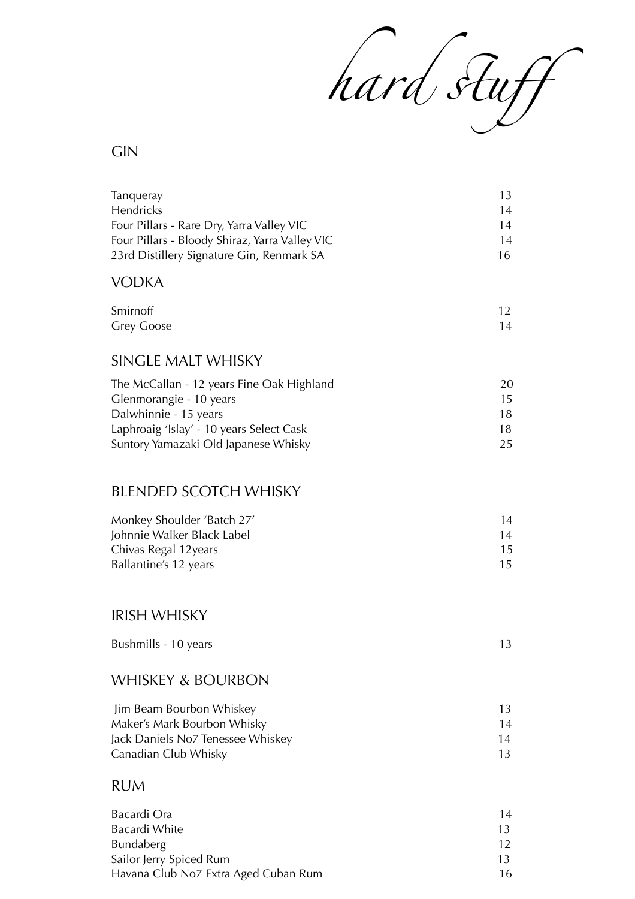

# GIN

| Tanqueray<br>Hendricks                         | 13<br>14 |
|------------------------------------------------|----------|
| Four Pillars - Rare Dry, Yarra Valley VIC      | 14       |
| Four Pillars - Bloody Shiraz, Yarra Valley VIC | 14       |
| 23rd Distillery Signature Gin, Renmark SA      | 16       |
| <b>VODKA</b>                                   |          |
| Smirnoff                                       | 12       |
| <b>Grey Goose</b>                              | 14       |
|                                                |          |
| <b>SINGLE MALT WHISKY</b>                      |          |
| The McCallan - 12 years Fine Oak Highland      | 20       |
| Glenmorangie - 10 years                        | 15       |
| Dalwhinnie - 15 years                          | 18       |
| Laphroaig 'Islay' - 10 years Select Cask       | 18       |
| Suntory Yamazaki Old Japanese Whisky           | 25       |
| <b>BLENDED SCOTCH WHISKY</b>                   |          |
|                                                |          |
| Monkey Shoulder 'Batch 27'                     | 14       |
| Johnnie Walker Black Label                     | 14       |
| Chivas Regal 12years                           | 15       |
| Ballantine's 12 years                          | 15       |
|                                                |          |
| <b>IRISH WHISKY</b>                            |          |
| Bushmills - 10 years                           | 13       |
|                                                |          |
| <b>WHISKEY &amp; BOURBON</b>                   |          |
| Jim Beam Bourbon Whiskey                       | 13       |
| Maker's Mark Bourbon Whisky                    | 14       |
| Jack Daniels No7 Tenessee Whiskey              | 14       |
| Canadian Club Whisky                           | 13       |

### RUM

| Bacardi Ora                          | 14              |
|--------------------------------------|-----------------|
| Bacardi White                        | 13              |
| <b>Bundaberg</b>                     | 12 <sup>°</sup> |
| Sailor Jerry Spiced Rum              | 13.             |
| Havana Club No7 Extra Aged Cuban Rum | 16              |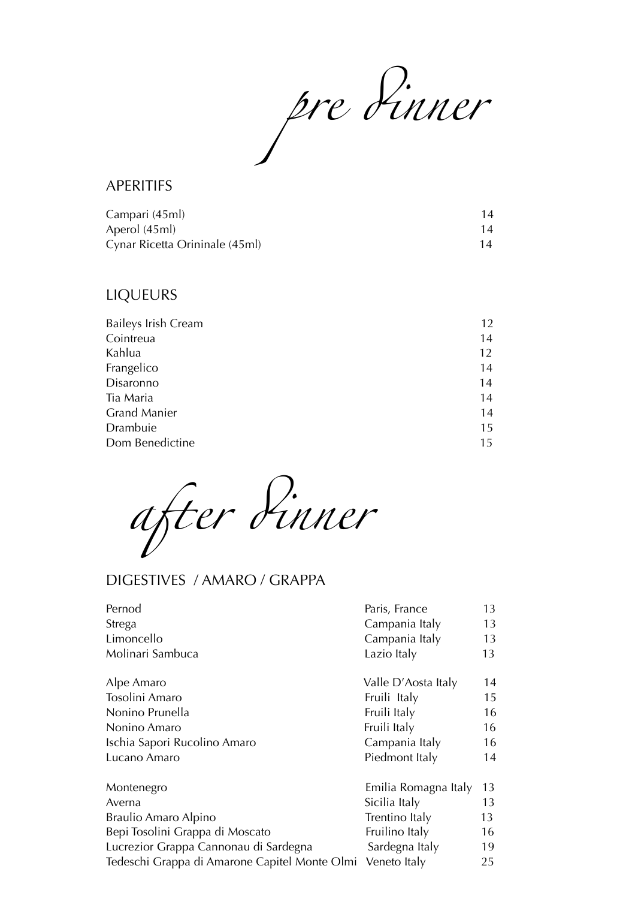*pre* d*nner*

#### APERITIFS

| Campari (45ml)                 |    |
|--------------------------------|----|
| Aperol (45ml)                  |    |
| Cynar Ricetta Orininale (45ml) | 14 |

### LIQUEURS

| Baileys Irish Cream | 12 |
|---------------------|----|
| Cointreua           | 14 |
| Kahlua              | 12 |
| Frangelico          | 14 |
| Disaronno           | 14 |
| Tia Maria           | 14 |
| <b>Grand Manier</b> | 14 |
| Drambuie            | 15 |
| Dom Benedictine     | 15 |
|                     |    |

*a*f*er* d*nner*

# DIGESTIVES / AMARO / GRAPPA

| Pernod                                        | Paris, France        | 13 |
|-----------------------------------------------|----------------------|----|
| Strega                                        | Campania Italy       | 13 |
| Limoncello                                    | Campania Italy       | 13 |
| Molinari Sambuca                              | Lazio Italy          | 13 |
| Alpe Amaro                                    | Valle D'Aosta Italy  | 14 |
| Tosolini Amaro                                | Fruili Italy         | 15 |
| Nonino Prunella                               | Fruili Italy         | 16 |
| Nonino Amaro                                  | Fruili Italy         | 16 |
| Ischia Sapori Rucolino Amaro                  | Campania Italy       | 16 |
| Lucano Amaro                                  | Piedmont Italy       | 14 |
| Montenegro                                    | Emilia Romagna Italy | 13 |
| Averna                                        | Sicilia Italy        | 13 |
| Braulio Amaro Alpino                          | Trentino Italy       | 13 |
| Bepi Tosolini Grappa di Moscato               | Fruilino Italy       | 16 |
| Lucrezior Grappa Cannonau di Sardegna         | Sardegna Italy       | 19 |
| Tedeschi Grappa di Amarone Capitel Monte Olmi | Veneto Italy         | 25 |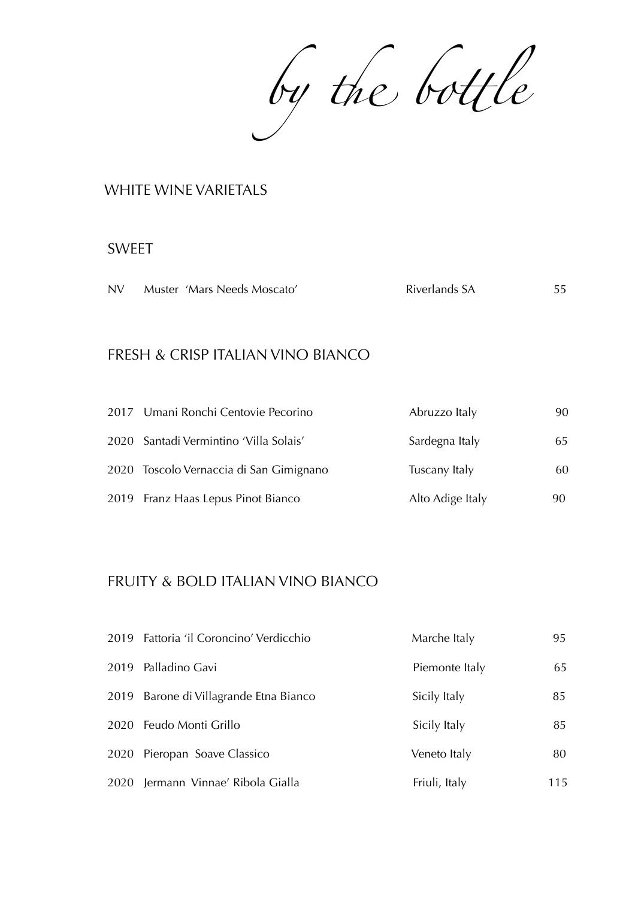by the bottle

#### WHITE WINE VARIETALS

#### SWEET

| Riverlands SA<br>Muster 'Mars Needs Moscato'<br><b>NV</b> | 55 |
|-----------------------------------------------------------|----|
|-----------------------------------------------------------|----|

#### FRESH & CRISP ITALIAN VINO BIANCO

| 2017 Umani Ronchi Centovie Pecorino     | Abruzzo Italy    | 90. |
|-----------------------------------------|------------------|-----|
| 2020 Santadi Vermintino 'Villa Solais'  | Sardegna Italy   | 65  |
| 2020 Toscolo Vernaccia di San Gimignano | Tuscany Italy    | 60  |
| 2019 Franz Haas Lepus Pinot Bianco      | Alto Adige Italy | 90  |

### FRUITY & BOLD ITALIAN VINO BIANCO

| 2019 Fattoria 'il Coroncino' Verdicchio | Marche Italy   | 95  |
|-----------------------------------------|----------------|-----|
| 2019 Palladino Gavi                     | Piemonte Italy | 65  |
| 2019 Barone di Villagrande Etna Bianco  | Sicily Italy   | 85  |
| 2020 Feudo Monti Grillo                 | Sicily Italy   | 85  |
| 2020 Pieropan Soave Classico            | Veneto Italy   | 80  |
| 2020 Jermann Vinnae' Ribola Gialla      | Friuli, Italy  | 115 |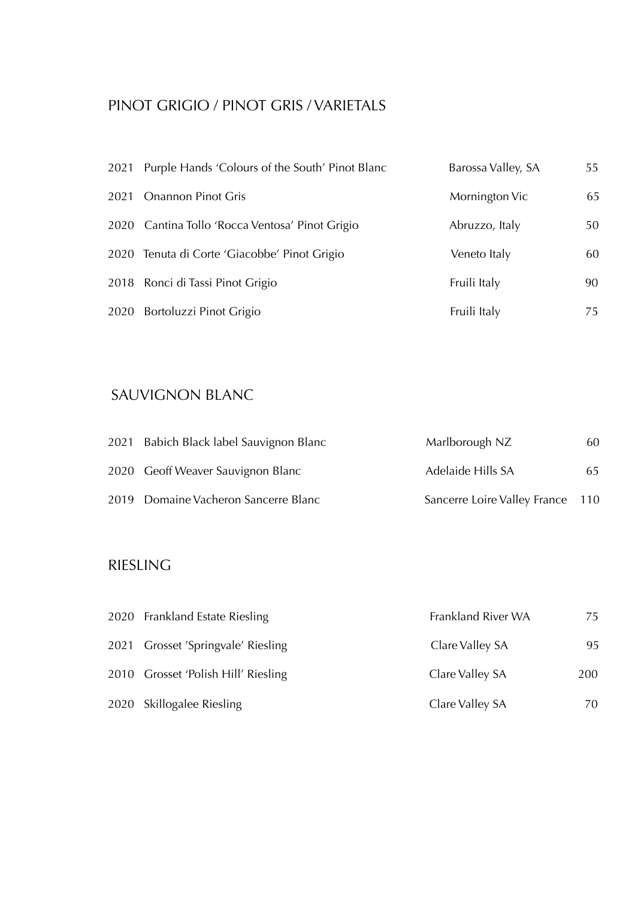# PINOT GRIGIO / PINOT GRIS / VARIETALS

| 2021 Purple Hands 'Colours of the South' Pinot Blanc | Barossa Valley, SA | 55 |
|------------------------------------------------------|--------------------|----|
| 2021 Onannon Pinot Gris                              | Mornington Vic     | 65 |
| 2020 Cantina Tollo 'Rocca Ventosa' Pinot Grigio      | Abruzzo, Italy     | 50 |
| 2020 Tenuta di Corte 'Giacobbe' Pinot Grigio         | Veneto Italy       | 60 |
| 2018 Ronci di Tassi Pinot Grigio                     | Fruili Italy       | 90 |
| 2020 Bortoluzzi Pinot Grigio                         | Fruili Italy       | 75 |

# SAUVIGNON BLANC

| 2021 Babich Black label Sauvignon Blanc | Marlborough NZ                   | 60 |
|-----------------------------------------|----------------------------------|----|
| 2020 Geoff Weaver Sauvignon Blanc       | Adelaide Hills SA                | 65 |
| 2019 Domaine Vacheron Sancerre Blanc    | Sancerre Loire Valley France 110 |    |

# RIESLING

| 2020 Frankland Estate Riesling      | Frankland River WA | 75  |
|-------------------------------------|--------------------|-----|
| 2021 Grosset 'Springvale' Riesling  | Clare Valley SA    | 95  |
| 2010 Grosset 'Polish Hill' Riesling | Clare Valley SA    | 200 |
| 2020 Skillogalee Riesling           | Clare Valley SA    | 70  |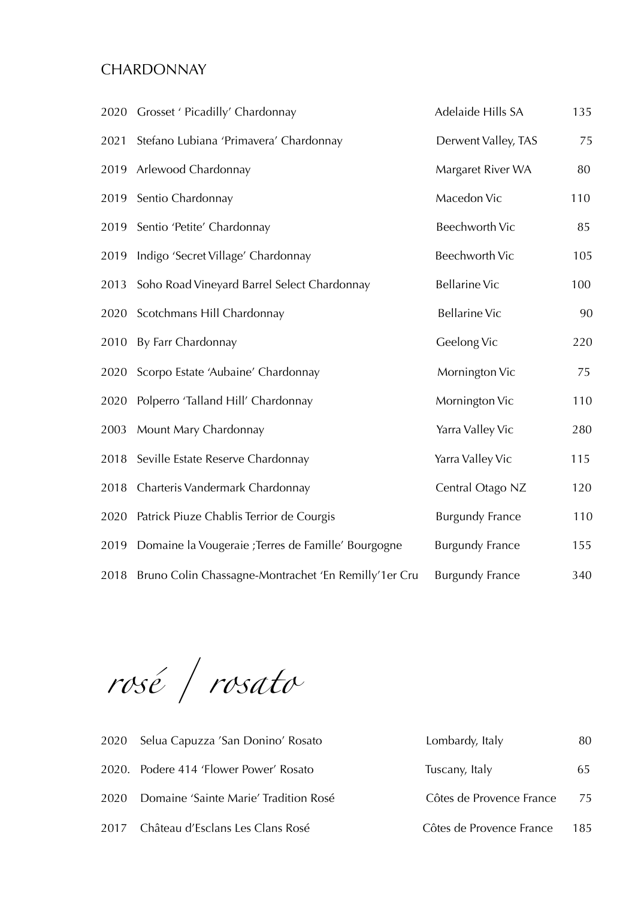### **CHARDONNAY**

|      | 2020 Grosset ' Picadilly' Chardonnay                 | Adelaide Hills SA      | 135 |
|------|------------------------------------------------------|------------------------|-----|
| 2021 | Stefano Lubiana 'Primavera' Chardonnay               | Derwent Valley, TAS    | 75  |
|      | 2019 Arlewood Chardonnay                             | Margaret River WA      | 80  |
| 2019 | Sentio Chardonnay                                    | Macedon Vic            | 110 |
| 2019 | Sentio 'Petite' Chardonnay                           | <b>Beechworth Vic</b>  | 85  |
| 2019 | Indigo 'Secret Village' Chardonnay                   | <b>Beechworth Vic</b>  | 105 |
| 2013 | Soho Road Vineyard Barrel Select Chardonnay          | <b>Bellarine Vic</b>   | 100 |
| 2020 | Scotchmans Hill Chardonnay                           | <b>Bellarine Vic</b>   | 90  |
| 2010 | By Farr Chardonnay                                   | Geelong Vic            | 220 |
|      | 2020 Scorpo Estate 'Aubaine' Chardonnay              | Mornington Vic         | 75  |
| 2020 | Polperro 'Talland Hill' Chardonnay                   | Mornington Vic         | 110 |
| 2003 | Mount Mary Chardonnay                                | Yarra Valley Vic       | 280 |
|      | 2018 Seville Estate Reserve Chardonnay               | Yarra Valley Vic       | 115 |
|      | 2018 Charteris Vandermark Chardonnay                 | Central Otago NZ       | 120 |
| 2020 | Patrick Piuze Chablis Terrior de Courgis             | <b>Burgundy France</b> | 110 |
| 2019 | Domaine la Vougeraie ; Terres de Famille' Bourgogne  | <b>Burgundy France</b> | 155 |
| 2018 | Bruno Colin Chassagne-Montrachet 'En Remilly'1er Cru | <b>Burgundy France</b> | 340 |

*rosé / rosato*

| 2020 Selua Capuzza 'San Donino' Rosato     | Lombardy, Italy          | 80    |
|--------------------------------------------|--------------------------|-------|
| 2020. Podere 414 'Flower Power' Rosato     | Tuscany, Italy           | 65    |
| 2020 Domaine 'Sainte Marie' Tradition Rosé | Côtes de Provence France | 75    |
| 2017 Château d'Esclans Les Clans Rosé      | Côtes de Provence France | - 185 |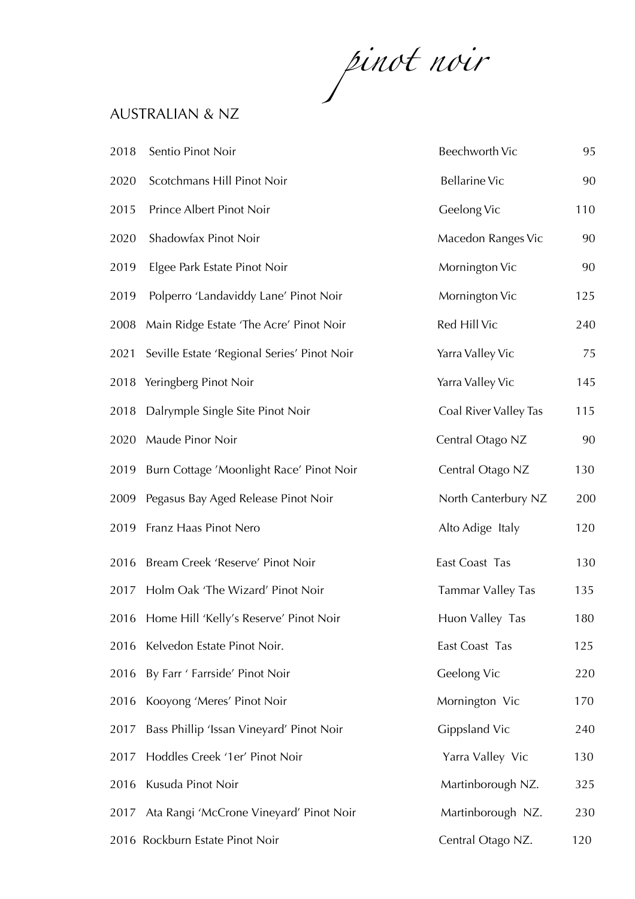*pinot noir*

### AUSTRALIAN & NZ

| 2018 | Sentio Pinot Noir                           | Beechworth Vic           | 95  |
|------|---------------------------------------------|--------------------------|-----|
| 2020 | Scotchmans Hill Pinot Noir                  | <b>Bellarine Vic</b>     | 90  |
| 2015 | Prince Albert Pinot Noir                    | Geelong Vic              | 110 |
| 2020 | Shadowfax Pinot Noir                        | Macedon Ranges Vic       | 90  |
| 2019 | Elgee Park Estate Pinot Noir                | Mornington Vic           | 90  |
| 2019 | Polperro 'Landaviddy Lane' Pinot Noir       | Mornington Vic           | 125 |
| 2008 | Main Ridge Estate 'The Acre' Pinot Noir     | Red Hill Vic             | 240 |
| 2021 | Seville Estate 'Regional Series' Pinot Noir | Yarra Valley Vic         | 75  |
|      | 2018 Yeringberg Pinot Noir                  | Yarra Valley Vic         | 145 |
| 2018 | Dalrymple Single Site Pinot Noir            | Coal River Valley Tas    | 115 |
| 2020 | Maude Pinor Noir                            | Central Otago NZ         | 90  |
| 2019 | Burn Cottage 'Moonlight Race' Pinot Noir    | Central Otago NZ         | 130 |
| 2009 | Pegasus Bay Aged Release Pinot Noir         | North Canterbury NZ      | 200 |
| 2019 | Franz Haas Pinot Nero                       | Alto Adige Italy         | 120 |
| 2016 | Bream Creek 'Reserve' Pinot Noir            | East Coast Tas           | 130 |
| 2017 | Holm Oak 'The Wizard' Pinot Noir            | <b>Tammar Valley Tas</b> | 135 |
|      | 2016 Home Hill 'Kelly's Reserve' Pinot Noir | Huon Valley Tas          | 180 |
| 2016 | Kelvedon Estate Pinot Noir.                 | East Coast Tas           | 125 |
| 2016 | By Farr ' Farrside' Pinot Noir              | Geelong Vic              | 220 |
| 2016 | Kooyong 'Meres' Pinot Noir                  | Mornington Vic           | 170 |
| 2017 | Bass Phillip 'Issan Vineyard' Pinot Noir    | <b>Gippsland Vic</b>     | 240 |
| 2017 | Hoddles Creek '1er' Pinot Noir              | Yarra Valley Vic         | 130 |
| 2016 | Kusuda Pinot Noir                           | Martinborough NZ.        | 325 |
| 2017 | Ata Rangi 'McCrone Vineyard' Pinot Noir     | Martinborough NZ.        | 230 |
|      | 2016 Rockburn Estate Pinot Noir             | Central Otago NZ.        | 120 |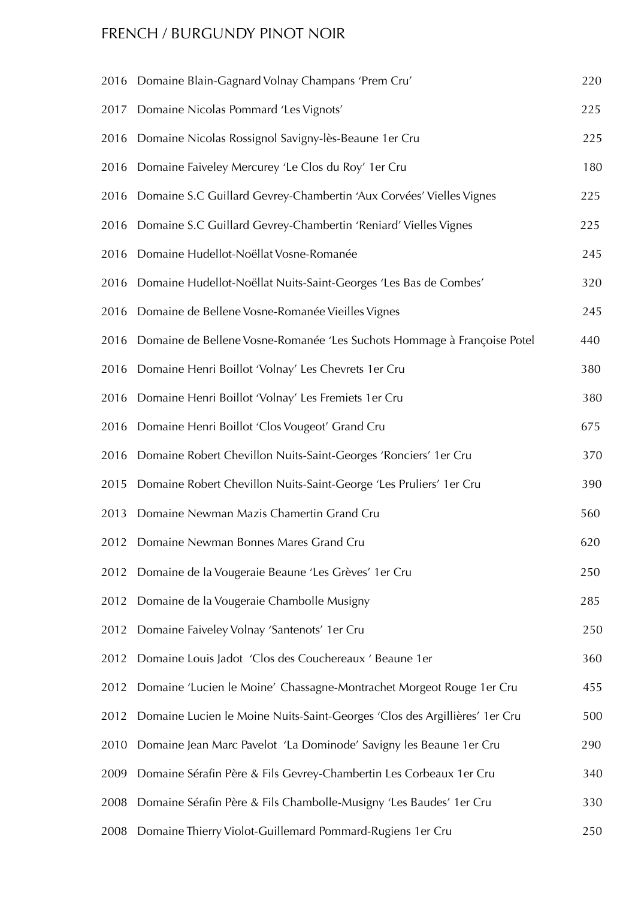### FRENCH / BURGUNDY PINOT NOIR

|      | 2016 Domaine Blain-Gagnard Volnay Champans 'Prem Cru'                      | 220 |
|------|----------------------------------------------------------------------------|-----|
| 2017 | Domaine Nicolas Pommard 'Les Vignots'                                      | 225 |
| 2016 | Domaine Nicolas Rossignol Savigny-lès-Beaune 1er Cru                       | 225 |
| 2016 | Domaine Faiveley Mercurey 'Le Clos du Roy' 1er Cru                         | 180 |
| 2016 | Domaine S.C Guillard Gevrey-Chambertin 'Aux Corvées' Vielles Vignes        | 225 |
| 2016 | Domaine S.C Guillard Gevrey-Chambertin 'Reniard' Vielles Vignes            | 225 |
| 2016 | Domaine Hudellot-Noëllat Vosne-Romanée                                     | 245 |
| 2016 | Domaine Hudellot-Noëllat Nuits-Saint-Georges 'Les Bas de Combes'           | 320 |
| 2016 | Domaine de Bellene Vosne-Romanée Vieilles Vignes                           | 245 |
| 2016 | Domaine de Bellene Vosne-Romanée 'Les Suchots Hommage à Françoise Potel    | 440 |
| 2016 | Domaine Henri Boillot 'Volnay' Les Chevrets 1 er Cru                       | 380 |
| 2016 | Domaine Henri Boillot 'Volnay' Les Fremiets 1 er Cru                       | 380 |
| 2016 | Domaine Henri Boillot 'Clos Vougeot' Grand Cru                             | 675 |
| 2016 | Domaine Robert Chevillon Nuits-Saint-Georges 'Ronciers' 1er Cru            | 370 |
| 2015 | Domaine Robert Chevillon Nuits-Saint-George 'Les Pruliers' 1er Cru         | 390 |
| 2013 | Domaine Newman Mazis Chamertin Grand Cru                                   | 560 |
| 2012 | Domaine Newman Bonnes Mares Grand Cru                                      | 620 |
| 2012 | Domaine de la Vougeraie Beaune 'Les Grèves' 1 er Cru                       | 250 |
| 2012 | Domaine de la Vougeraie Chambolle Musigny                                  | 285 |
| 2012 | Domaine Faiveley Volnay 'Santenots' 1er Cru                                | 250 |
| 2012 | Domaine Louis Jadot 'Clos des Couchereaux ' Beaune 1er                     | 360 |
| 2012 | Domaine 'Lucien le Moine' Chassagne-Montrachet Morgeot Rouge 1er Cru       | 455 |
| 2012 | Domaine Lucien le Moine Nuits-Saint-Georges 'Clos des Argillières' 1er Cru | 500 |
| 2010 | Domaine Jean Marc Pavelot 'La Dominode' Savigny les Beaune 1er Cru         | 290 |
| 2009 | Domaine Sérafin Père & Fils Gevrey-Chambertin Les Corbeaux 1er Cru         | 340 |
| 2008 | Domaine Sérafin Père & Fils Chambolle-Musigny 'Les Baudes' 1er Cru         | 330 |
| 2008 | Domaine Thierry Violot-Guillemard Pommard-Rugiens 1er Cru                  | 250 |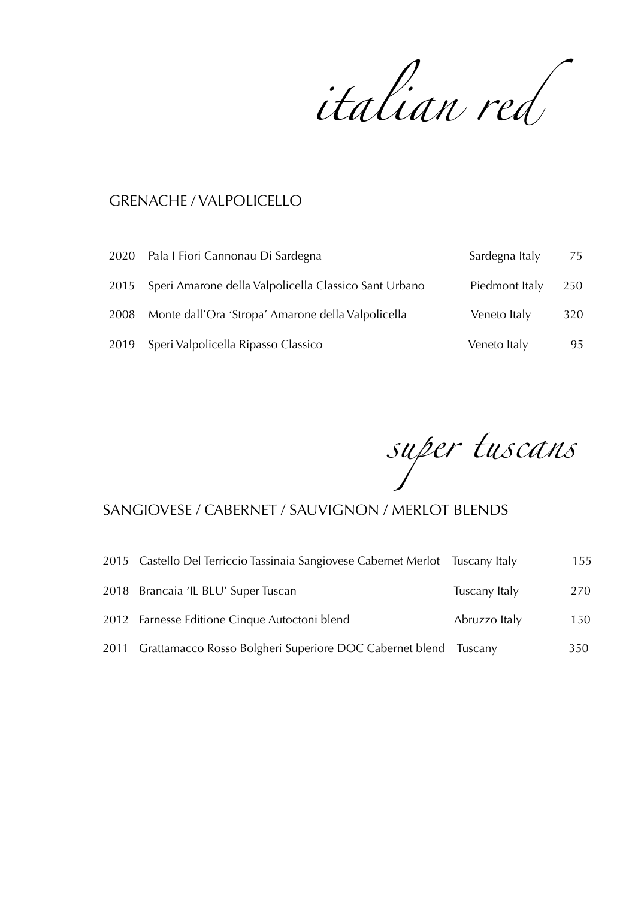*italian red*

# GRENACHE / VALPOLICELLO

|      | 2020 Pala I Fiori Cannonau Di Sardegna                     | Sardegna Italy | 75  |
|------|------------------------------------------------------------|----------------|-----|
|      | 2015 Speri Amarone della Valpolicella Classico Sant Urbano | Piedmont Italy | 250 |
| 2008 | Monte dall'Ora 'Stropa' Amarone della Valpolicella         | Veneto Italy   | 320 |
|      | 2019 Speri Valpolicella Ripasso Classico                   | Veneto Italy   | 95  |

*super tuscans*

# SANGIOVESE / CABERNET / SAUVIGNON / MERLOT BLENDS

| 2015 Castello Del Terriccio Tassinaia Sangiovese Cabernet Merlot Tuscany Italy |               | 155 |
|--------------------------------------------------------------------------------|---------------|-----|
| 2018 Brancaia 'IL BLU' Super Tuscan                                            | Tuscany Italy | 270 |
| 2012 Farnesse Editione Cinque Autoctoni blend                                  | Abruzzo Italy | 150 |
| 2011 Grattamacco Rosso Bolgheri Superiore DOC Cabernet blend Tuscany           |               | 350 |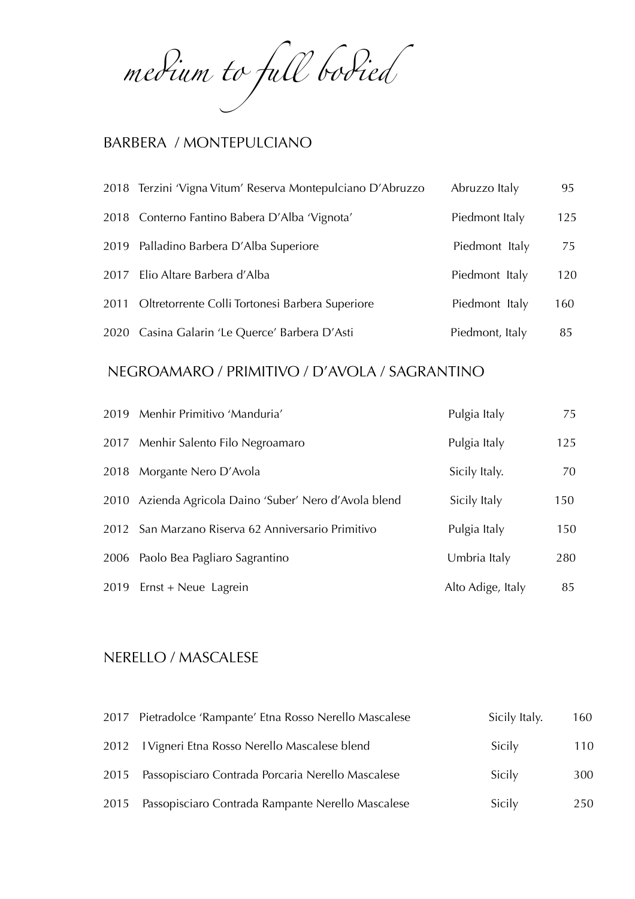*me*d*um to fu*l *bo*d*ed*

### BARBERA / MONTEPULCIANO

| 2018 Terzini 'Vigna Vitum' Reserva Montepulciano D'Abruzzo | Abruzzo Italy   | 95  |
|------------------------------------------------------------|-----------------|-----|
| 2018 Conterno Fantino Babera D'Alba 'Vignota'              | Piedmont Italy  | 125 |
| 2019 Palladino Barbera D'Alba Superiore                    | Piedmont Italy  | 75  |
| 2017 Elio Altare Barbera d'Alba                            | Piedmont Italy  | 120 |
| 2011 Oltretorrente Colli Tortonesi Barbera Superiore       | Piedmont Italy  | 160 |
| 2020 Casina Galarin 'Le Querce' Barbera D'Asti             | Piedmont, Italy | 85  |

### NEGROAMARO / PRIMITIVO / D'AVOLA / SAGRANTINO

| 2019 Menhir Primitivo 'Manduria'                       | Pulgia Italy      | 75  |
|--------------------------------------------------------|-------------------|-----|
| 2017 Menhir Salento Filo Negroamaro                    | Pulgia Italy      | 125 |
| 2018 Morgante Nero D'Avola                             | Sicily Italy.     | 70  |
| 2010 Azienda Agricola Daino 'Suber' Nero d'Avola blend | Sicily Italy      | 150 |
| 2012 San Marzano Riserva 62 Anniversario Primitivo     | Pulgia Italy      | 150 |
| 2006 Paolo Bea Pagliaro Sagrantino                     | Umbria Italy      | 280 |
| 2019 Ernst + Neue Lagrein                              | Alto Adige, Italy | 85  |

#### NERELLO / MASCALESE

|      | 2017 Pietradolce 'Rampante' Etna Rosso Nerello Mascalese | Sicily Italy. | 160 |
|------|----------------------------------------------------------|---------------|-----|
|      | 2012 I Vigneri Etna Rosso Nerello Mascalese blend        | Sicily        | 110 |
|      | 2015 Passopisciaro Contrada Porcaria Nerello Mascalese   | Sicily        | 300 |
| 2015 | Passopisciaro Contrada Rampante Nerello Mascalese        | Sicily        | 250 |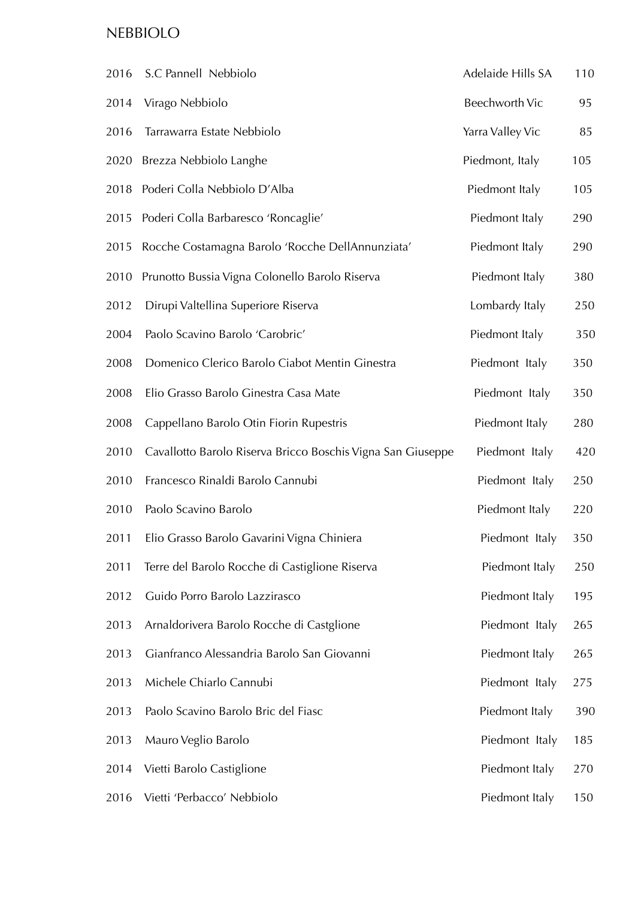# NEBBIOLO

| 2016 | S.C Pannell Nebbiolo                                        | Adelaide Hills SA     | 110 |
|------|-------------------------------------------------------------|-----------------------|-----|
| 2014 | Virago Nebbiolo                                             | <b>Beechworth Vic</b> | 95  |
| 2016 | Tarrawarra Estate Nebbiolo                                  | Yarra Valley Vic      | 85  |
| 2020 | Brezza Nebbiolo Langhe                                      | Piedmont, Italy       | 105 |
| 2018 | Poderi Colla Nebbiolo D'Alba                                | Piedmont Italy        | 105 |
| 2015 | Poderi Colla Barbaresco 'Roncaglie'                         | Piedmont Italy        | 290 |
| 2015 | Rocche Costamagna Barolo 'Rocche DellAnnunziata'            | Piedmont Italy        | 290 |
| 2010 | Prunotto Bussia Vigna Colonello Barolo Riserva              | Piedmont Italy        | 380 |
| 2012 | Dirupi Valtellina Superiore Riserva                         | Lombardy Italy        | 250 |
| 2004 | Paolo Scavino Barolo 'Carobric'                             | Piedmont Italy        | 350 |
| 2008 | Domenico Clerico Barolo Ciabot Mentin Ginestra              | Piedmont Italy        | 350 |
| 2008 | Elio Grasso Barolo Ginestra Casa Mate                       | Piedmont Italy        | 350 |
| 2008 | Cappellano Barolo Otin Fiorin Rupestris                     | Piedmont Italy        | 280 |
| 2010 | Cavallotto Barolo Riserva Bricco Boschis Vigna San Giuseppe | Piedmont Italy        | 420 |
| 2010 | Francesco Rinaldi Barolo Cannubi                            | Piedmont Italy        | 250 |
| 2010 | Paolo Scavino Barolo                                        | Piedmont Italy        | 220 |
| 2011 | Elio Grasso Barolo Gavarini Vigna Chiniera                  | Piedmont Italy        | 350 |
| 2011 | Terre del Barolo Rocche di Castiglione Riserva              | Piedmont Italy        | 250 |
| 2012 | Guido Porro Barolo Lazzirasco                               | Piedmont Italy        | 195 |
| 2013 | Arnaldorivera Barolo Rocche di Castglione                   | Piedmont Italy        | 265 |
| 2013 | Gianfranco Alessandria Barolo San Giovanni                  | Piedmont Italy        | 265 |
| 2013 | Michele Chiarlo Cannubi                                     | Piedmont Italy        | 275 |
| 2013 | Paolo Scavino Barolo Bric del Fiasc                         | Piedmont Italy        | 390 |
| 2013 | Mauro Veglio Barolo                                         | Piedmont Italy        | 185 |
| 2014 | Vietti Barolo Castiglione                                   | Piedmont Italy        | 270 |
| 2016 | Vietti 'Perbacco' Nebbiolo                                  | Piedmont Italy        | 150 |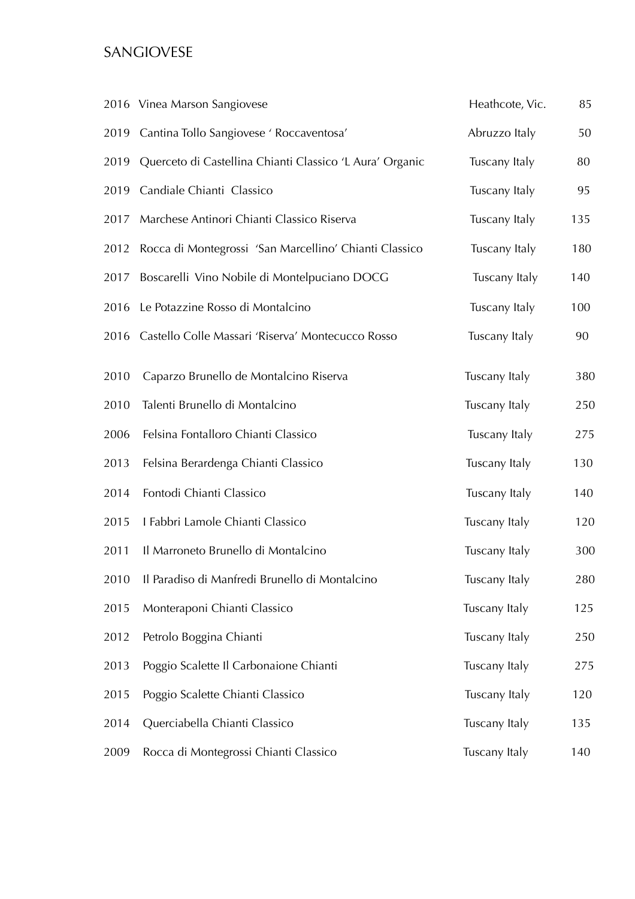# SANGIOVESE

|      | 2016 Vinea Marson Sangiovese                                  | Heathcote, Vic. | 85  |
|------|---------------------------------------------------------------|-----------------|-----|
|      | 2019 Cantina Tollo Sangiovese ' Roccaventosa'                 | Abruzzo Italy   | 50  |
|      | 2019 Querceto di Castellina Chianti Classico 'L Aura' Organic | Tuscany Italy   | 80  |
| 2019 | Candiale Chianti Classico                                     | Tuscany Italy   | 95  |
| 2017 | Marchese Antinori Chianti Classico Riserva                    | Tuscany Italy   | 135 |
| 2012 | Rocca di Montegrossi 'San Marcellino' Chianti Classico        | Tuscany Italy   | 180 |
| 2017 | Boscarelli Vino Nobile di Montelpuciano DOCG                  | Tuscany Italy   | 140 |
| 2016 | Le Potazzine Rosso di Montalcino                              | Tuscany Italy   | 100 |
| 2016 | Castello Colle Massari 'Riserva' Montecucco Rosso             | Tuscany Italy   | 90  |
| 2010 | Caparzo Brunello de Montalcino Riserva                        | Tuscany Italy   | 380 |
| 2010 | Talenti Brunello di Montalcino                                | Tuscany Italy   | 250 |
| 2006 | Felsina Fontalloro Chianti Classico                           | Tuscany Italy   | 275 |
| 2013 | Felsina Berardenga Chianti Classico                           | Tuscany Italy   | 130 |
| 2014 | Fontodi Chianti Classico                                      | Tuscany Italy   | 140 |
| 2015 | I Fabbri Lamole Chianti Classico                              | Tuscany Italy   | 120 |
| 2011 | Il Marroneto Brunello di Montalcino                           | Tuscany Italy   | 300 |
| 2010 | Il Paradiso di Manfredi Brunello di Montalcino                | Tuscany Italy   | 280 |
| 2015 | Monteraponi Chianti Classico                                  | Tuscany Italy   | 125 |
| 2012 | Petrolo Boggina Chianti                                       | Tuscany Italy   | 250 |
| 2013 | Poggio Scalette Il Carbonaione Chianti                        | Tuscany Italy   | 275 |
| 2015 | Poggio Scalette Chianti Classico                              | Tuscany Italy   | 120 |
| 2014 | Querciabella Chianti Classico                                 | Tuscany Italy   | 135 |
| 2009 | Rocca di Montegrossi Chianti Classico                         | Tuscany Italy   | 140 |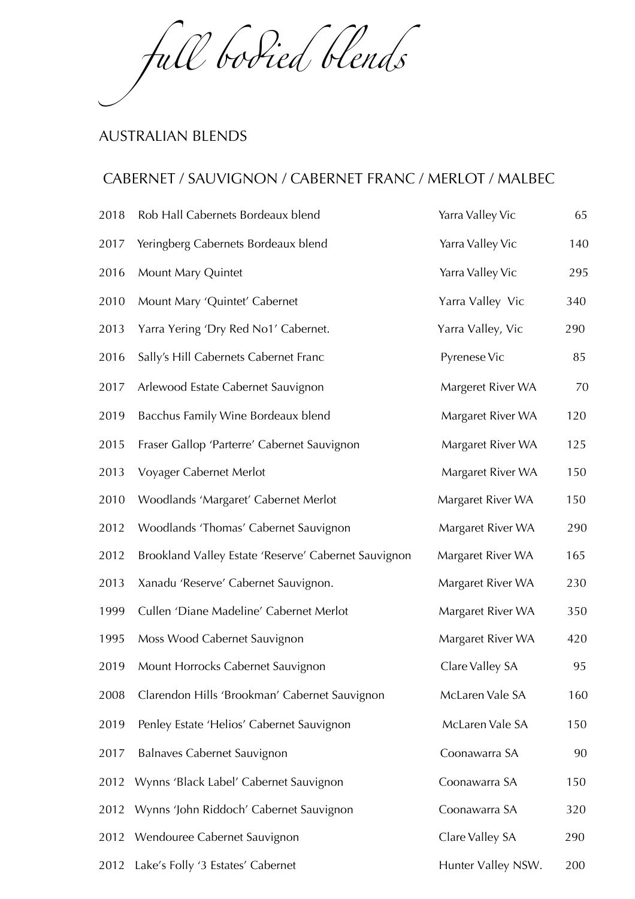*fu*l *bo*d*ed blends*

#### AUSTRALIAN BLENDS

### CABERNET / SAUVIGNON / CABERNET FRANC / MERLOT / MALBEC

| 2018 | Rob Hall Cabernets Bordeaux blend                    | Yarra Valley Vic   | 65  |
|------|------------------------------------------------------|--------------------|-----|
| 2017 | Yeringberg Cabernets Bordeaux blend                  | Yarra Valley Vic   | 140 |
| 2016 | Mount Mary Quintet                                   | Yarra Valley Vic   | 295 |
| 2010 | Mount Mary 'Quintet' Cabernet                        | Yarra Valley Vic   | 340 |
| 2013 | Yarra Yering 'Dry Red No1' Cabernet.                 | Yarra Valley, Vic  | 290 |
| 2016 | Sally's Hill Cabernets Cabernet Franc                | Pyrenese Vic       | 85  |
| 2017 | Arlewood Estate Cabernet Sauvignon                   | Margeret River WA  | 70  |
| 2019 | Bacchus Family Wine Bordeaux blend                   | Margaret River WA  | 120 |
| 2015 | Fraser Gallop 'Parterre' Cabernet Sauvignon          | Margaret River WA  | 125 |
| 2013 | Voyager Cabernet Merlot                              | Margaret River WA  | 150 |
| 2010 | Woodlands 'Margaret' Cabernet Merlot                 | Margaret River WA  | 150 |
| 2012 | Woodlands 'Thomas' Cabernet Sauvignon                | Margaret River WA  | 290 |
| 2012 | Brookland Valley Estate 'Reserve' Cabernet Sauvignon | Margaret River WA  | 165 |
| 2013 | Xanadu 'Reserve' Cabernet Sauvignon.                 | Margaret River WA  | 230 |
| 1999 | Cullen 'Diane Madeline' Cabernet Merlot              | Margaret River WA  | 350 |
| 1995 | Moss Wood Cabernet Sauvignon                         | Margaret River WA  | 420 |
| 2019 | Mount Horrocks Cabernet Sauvignon                    | Clare Valley SA    | 95  |
| 2008 | Clarendon Hills 'Brookman' Cabernet Sauvignon        | McLaren Vale SA    | 160 |
| 2019 | Penley Estate 'Helios' Cabernet Sauvignon            | McLaren Vale SA    | 150 |
| 2017 | <b>Balnaves Cabernet Sauvignon</b>                   | Coonawarra SA      | 90  |
| 2012 | Wynns 'Black Label' Cabernet Sauvignon               | Coonawarra SA      | 150 |
| 2012 | Wynns 'John Riddoch' Cabernet Sauvignon              | Coonawarra SA      | 320 |
| 2012 | Wendouree Cabernet Sauvignon                         | Clare Valley SA    | 290 |
| 2012 | Lake's Folly '3 Estates' Cabernet                    | Hunter Valley NSW. | 200 |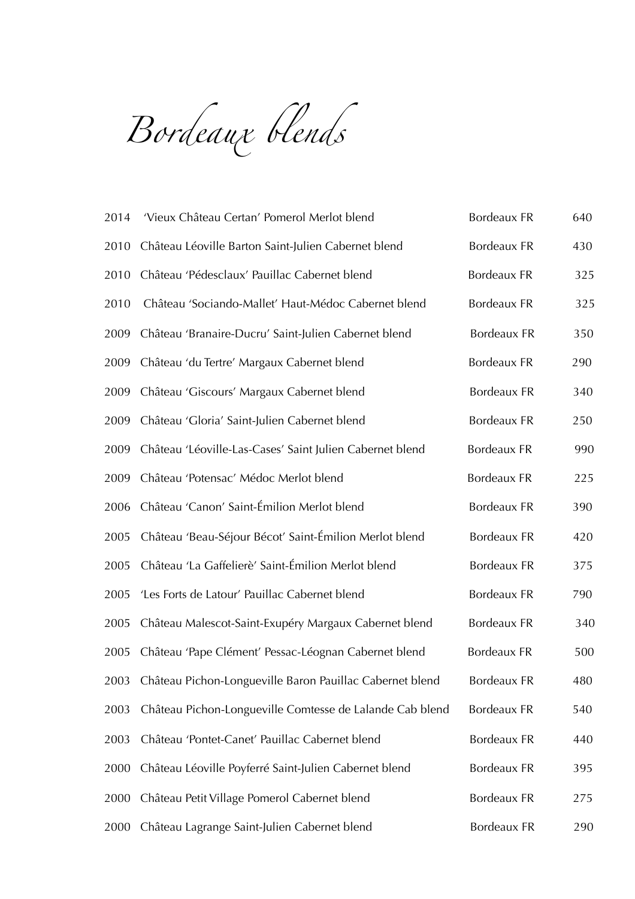*Bordeaux blends*

| 2014 | 'Vieux Château Certan' Pomerol Merlot blend              | <b>Bordeaux FR</b> | 640 |
|------|----------------------------------------------------------|--------------------|-----|
| 2010 | Château Léoville Barton Saint-Julien Cabernet blend      | <b>Bordeaux FR</b> | 430 |
| 2010 | Château 'Pédesclaux' Pauillac Cabernet blend             | <b>Bordeaux FR</b> | 325 |
| 2010 | Château 'Sociando-Mallet' Haut-Médoc Cabernet blend      | Bordeaux FR        | 325 |
| 2009 | Château 'Branaire-Ducru' Saint-Julien Cabernet blend     | <b>Bordeaux FR</b> | 350 |
| 2009 | Château 'du Tertre' Margaux Cabernet blend               | <b>Bordeaux FR</b> | 290 |
| 2009 | Château 'Giscours' Margaux Cabernet blend                | <b>Bordeaux FR</b> | 340 |
| 2009 | Château 'Gloria' Saint-Julien Cabernet blend             | <b>Bordeaux FR</b> | 250 |
| 2009 | Château 'Léoville-Las-Cases' Saint Julien Cabernet blend | <b>Bordeaux FR</b> | 990 |
| 2009 | Château 'Potensac' Médoc Merlot blend                    | <b>Bordeaux FR</b> | 225 |
| 2006 | Château 'Canon' Saint-Émilion Merlot blend               | <b>Bordeaux FR</b> | 390 |
| 2005 | Château 'Beau-Séjour Bécot' Saint-Émilion Merlot blend   | <b>Bordeaux FR</b> | 420 |
| 2005 | Château 'La Gaffelierè' Saint-Émilion Merlot blend       | <b>Bordeaux FR</b> | 375 |
| 2005 | 'Les Forts de Latour' Pauillac Cabernet blend            | <b>Bordeaux FR</b> | 790 |
| 2005 | Château Malescot-Saint-Exupéry Margaux Cabernet blend    | <b>Bordeaux FR</b> | 340 |
| 2005 | Château 'Pape Clément' Pessac-Léognan Cabernet blend     | <b>Bordeaux FR</b> | 500 |
| 2003 | Château Pichon-Longueville Baron Pauillac Cabernet blend | <b>Bordeaux FR</b> | 480 |
| 2003 | Château Pichon-Longueville Comtesse de Lalande Cab blend | <b>Bordeaux FR</b> | 540 |
| 2003 | Château 'Pontet-Canet' Pauillac Cabernet blend           | <b>Bordeaux FR</b> | 440 |
| 2000 | Château Léoville Poyferré Saint-Julien Cabernet blend    | <b>Bordeaux FR</b> | 395 |
| 2000 | Château Petit Village Pomerol Cabernet blend             | <b>Bordeaux FR</b> | 275 |
| 2000 | Château Lagrange Saint-Julien Cabernet blend             | <b>Bordeaux FR</b> | 290 |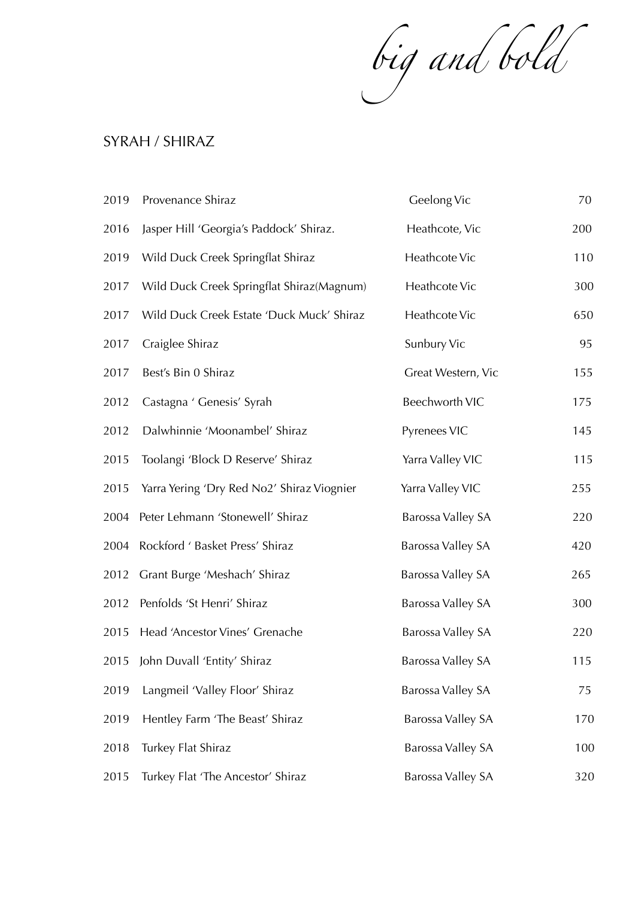*big and bold*

### SYRAH / SHIRAZ

| 2019 | Provenance Shiraz                          | Geelong Vic              | 70  |
|------|--------------------------------------------|--------------------------|-----|
| 2016 | Jasper Hill 'Georgia's Paddock' Shiraz.    | Heathcote, Vic           | 200 |
| 2019 | Wild Duck Creek Springflat Shiraz          | Heathcote Vic            | 110 |
| 2017 | Wild Duck Creek Springflat Shiraz (Magnum) | Heathcote Vic            | 300 |
| 2017 | Wild Duck Creek Estate 'Duck Muck' Shiraz  | Heathcote Vic            | 650 |
| 2017 | Craiglee Shiraz                            | Sunbury Vic              | 95  |
| 2017 | Best's Bin 0 Shiraz                        | Great Western, Vic       | 155 |
| 2012 | Castagna ' Genesis' Syrah                  | Beechworth VIC           | 175 |
| 2012 | Dalwhinnie 'Moonambel' Shiraz              | Pyrenees VIC             | 145 |
| 2015 | Toolangi 'Block D Reserve' Shiraz          | Yarra Valley VIC         | 115 |
| 2015 | Yarra Yering 'Dry Red No2' Shiraz Viognier | Yarra Valley VIC         | 255 |
| 2004 | Peter Lehmann 'Stonewell' Shiraz           | Barossa Valley SA        | 220 |
| 2004 | Rockford ' Basket Press' Shiraz            | Barossa Valley SA        | 420 |
| 2012 | Grant Burge 'Meshach' Shiraz               | Barossa Valley SA        | 265 |
| 2012 | Penfolds 'St Henri' Shiraz                 | Barossa Valley SA        | 300 |
| 2015 | Head 'Ancestor Vines' Grenache             | <b>Barossa Valley SA</b> | 220 |
| 2015 | John Duvall 'Entity' Shiraz                | Barossa Valley SA        | 115 |
| 2019 | Langmeil 'Valley Floor' Shiraz             | Barossa Valley SA        | 75  |
| 2019 | Hentley Farm 'The Beast' Shiraz            | Barossa Valley SA        | 170 |
| 2018 | Turkey Flat Shiraz                         | Barossa Valley SA        | 100 |
| 2015 | Turkey Flat 'The Ancestor' Shiraz          | Barossa Valley SA        | 320 |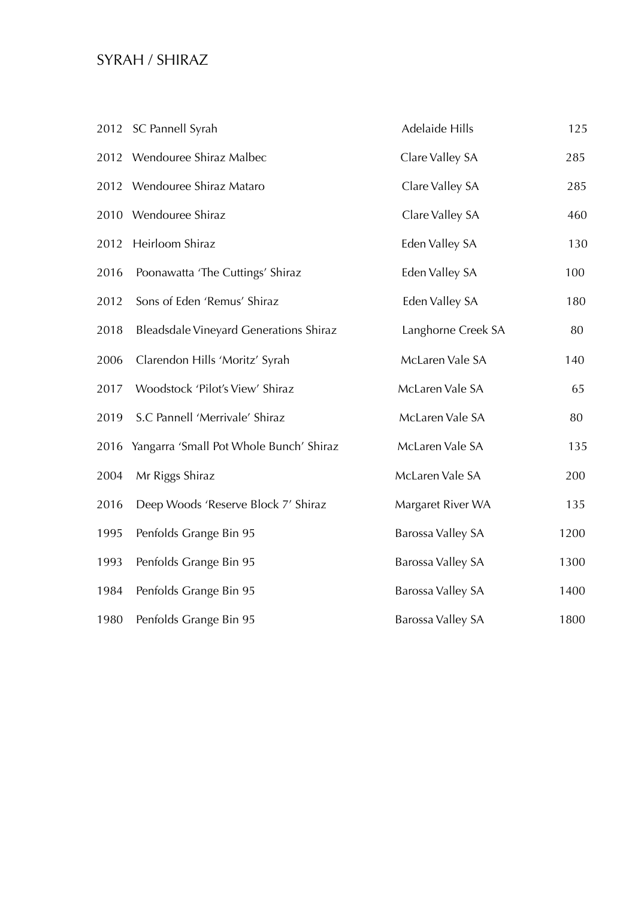# SYRAH / SHIRAZ

|      | 2012 SC Pannell Syrah                         | Adelaide Hills     | 125  |
|------|-----------------------------------------------|--------------------|------|
|      | 2012 Wendouree Shiraz Malbec                  | Clare Valley SA    | 285  |
|      | 2012 Wendouree Shiraz Mataro                  | Clare Valley SA    | 285  |
|      | 2010 Wendouree Shiraz                         | Clare Valley SA    | 460  |
| 2012 | Heirloom Shiraz                               | Eden Valley SA     | 130  |
| 2016 | Poonawatta 'The Cuttings' Shiraz              | Eden Valley SA     | 100  |
| 2012 | Sons of Eden 'Remus' Shiraz                   | Eden Valley SA     | 180  |
| 2018 | <b>Bleadsdale Vineyard Generations Shiraz</b> | Langhorne Creek SA | 80   |
| 2006 | Clarendon Hills 'Moritz' Syrah                | McLaren Vale SA    | 140  |
| 2017 | Woodstock 'Pilot's View' Shiraz               | McLaren Vale SA    | 65   |
| 2019 | S.C Pannell 'Merrivale' Shiraz                | McLaren Vale SA    | 80   |
| 2016 | Yangarra 'Small Pot Whole Bunch' Shiraz       | McLaren Vale SA    | 135  |
| 2004 | Mr Riggs Shiraz                               | McLaren Vale SA    | 200  |
| 2016 | Deep Woods 'Reserve Block 7' Shiraz           | Margaret River WA  | 135  |
| 1995 | Penfolds Grange Bin 95                        | Barossa Valley SA  | 1200 |
| 1993 | Penfolds Grange Bin 95                        | Barossa Valley SA  | 1300 |
| 1984 | Penfolds Grange Bin 95                        | Barossa Valley SA  | 1400 |
| 1980 | Penfolds Grange Bin 95                        | Barossa Valley SA  | 1800 |